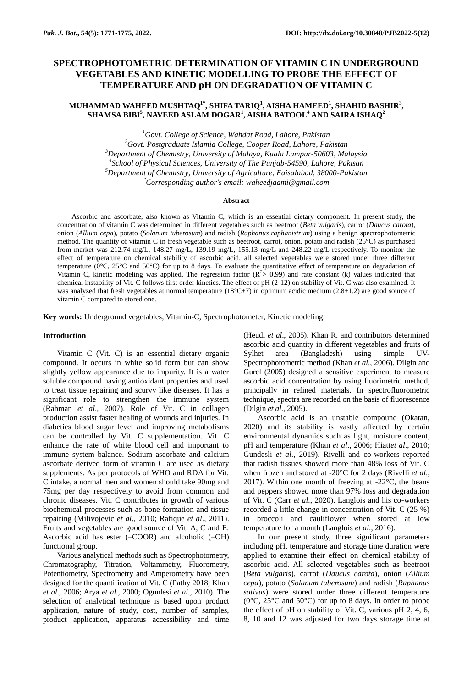# **SPECTROPHOTOMETRIC DETERMINATION OF VITAMIN C IN UNDERGROUND VEGETABLES AND KINETIC MODELLING TO PROBE THE EFFECT OF TEMPERATURE AND pH ON DEGRADATION OF VITAMIN C**

## **MUHAMMAD WAHEED MUSHTAQ1\* , SHIFA TARIQ<sup>1</sup> , AISHA HAMEED<sup>1</sup> , SHAHID BASHIR<sup>3</sup> , SHAMSA BIBI<sup>5</sup> , NAVEED ASLAM DOGAR<sup>1</sup> , AISHA BATOOL<sup>4</sup> AND SAIRA ISHAQ<sup>2</sup>**

*Govt. College of Science, Wahdat Road, Lahore, Pakistan Govt. Postgraduate Islamia College, Cooper Road, Lahore, Pakistan Department of Chemistry, University of Malaya, Kuala Lumpur-50603, Malaysia School of Physical Sciences, University of The Punjab-54590, Lahore, Pakisan Department of Chemistry, University of Agriculture, Faisalabad, 38000-Pakistan* \**Corresponding author's email: waheedjaami@gmail.com*

## **Abstract**

Ascorbic and ascorbate, also known as Vitamin C, which is an essential dietary component. In present study, the concentration of vitamin C was determined in different vegetables such as beetroot (*Beta vulgaris*), carrot (*Daucus carota*), onion (*Allium cepa*), potato (*Solanum tuberosum*) and radish (*Raphanus raphanistrum*) using a benign spectrophotometric method. The quantity of vitamin C in fresh vegetable such as beetroot, carrot, onion, potato and radish (25°C) as purchased from market was 212.74 mg/L, 148.27 mg/L, 139.19 mg/L, 155.13 mg/L and 248.22 mg/L respectively. To monitor the effect of temperature on chemical stability of ascorbic acid, all selected vegetables were stored under three different temperature ( $0^{\circ}$ C,  $25^{\circ}$ C and  $50^{\circ}$ C) for up to 8 days. To evaluate the quantitative effect of temperature on degradation of Vitamin C, kinetic modeling was applied. The regression factor  $(R^2 > 0.99)$  and rate constant (k) values indicated that chemical instability of Vit. C follows first order kinetics. The effect of pH (2-12) on stability of Vit. C was also examined. It was analyzed that fresh vegetables at normal temperature  $(18^{\circ}C\pm7)$  in optimum acidic medium (2.8 $\pm1.2$ ) are good source of vitamin C compared to stored one.

**Key words:** Underground vegetables, Vitamin-C, Spectrophotometer, Kinetic modeling.

## **Introduction**

Vitamin C (Vit. C) is an essential dietary organic compound. It occurs in white solid form but can show slightly yellow appearance due to impurity. It is a water soluble compound having antioxidant properties and used to treat tissue repairing and scurvy like diseases. It has a significant role to strengthen the immune system (Rahman *et al*., 2007). Role of Vit. C in collagen production assist faster healing of wounds and injuries. In diabetics blood sugar level and improving metabolisms can be controlled by Vit. C supplementation. Vit. C enhance the rate of white blood cell and important to immune system balance. Sodium ascorbate and calcium ascorbate derived form of vitamin C are used as dietary supplements. As per protocols of WHO and RDA for Vit. C intake, a normal men and women should take 90mg and 75mg per day respectively to avoid from common and chronic diseases. Vit. C contributes in growth of various biochemical processes such as bone formation and tissue repairing (Milivojevic *et al*., 2010; Rafique *et al*., 2011). Fruits and vegetables are good source of Vit. A, C and E. Ascorbic acid has ester (-COOR) and alcoholic (-OH) functional group.

Various analytical methods such as Spectrophotometry, Chromatography, Titration, Voltammetry, Fluorometry, Potentiometry, Spectrometry and Amperometry have been designed for the quantification of Vit. C [\(Pathy](https://www.researchgate.net/profile/Krishna_Sarma_Pathy2) 2018; Khan *et al*., 2006; Arya *et al*., 2000; Ogunlesi *et al*., 2010). The selection of analytical technique is based upon product application, nature of study, cost, number of samples, product application, apparatus accessibility and time (Heudi *et al*., 2005). Khan R. and contributors determined ascorbic acid quantity in different vegetables and fruits of Sylhet area (Bangladesh) using simple UV-Spectrophotometric method (Khan *et al*., 2006). Dilgin and Gurel (2005) designed a sensitive experiment to measure ascorbic acid concentration by using fluorimetric method, principally in refined materials. In spectrofluorometric technique, spectra are recorded on the basis of fluorescence (Dilgin *et al*., 2005).

Ascorbic acid is an unstable compound (Okatan, 2020) and its stability is vastly affected by certain environmental dynamics such as light, moisture content, pH and temperature (Khan *et al*., 2006; Hiatt*et al*., 2010; Gundesli *et al*., 2019). Rivelli and co-workers reported that radish tissues showed more than 48% loss of Vit. C when frozen and stored at -20°C for 2 days (Rivelli *et al*., 2017). Within one month of freezing at  $-22^{\circ}$ C, the beans and peppers showed more than 97% loss and degradation of Vit. C (Carr *et al*., 2020). Langlois and his co-workers recorded a little change in concentration of Vit. C (25 %) in broccoli and cauliflower when stored at low temperature for a month (Langlois *et al*., 2016).

In our present study, three significant parameters including pH, temperature and storage time duration were applied to examine their effect on chemical stability of ascorbic acid. All selected vegetables such as beetroot (*Beta vulgaris*), carrot (*Daucus carota*), onion (*Allium cepa*), potato (*Solanum tuberosum*) and radish (*Raphanus sativus*) were stored under three different temperature ( $0^{\circ}$ C,  $25^{\circ}$ C and  $50^{\circ}$ C) for up to 8 days. In order to probe the effect of pH on stability of Vit. C, various pH 2, 4, 6, 8, 10 and 12 was adjusted for two days storage time at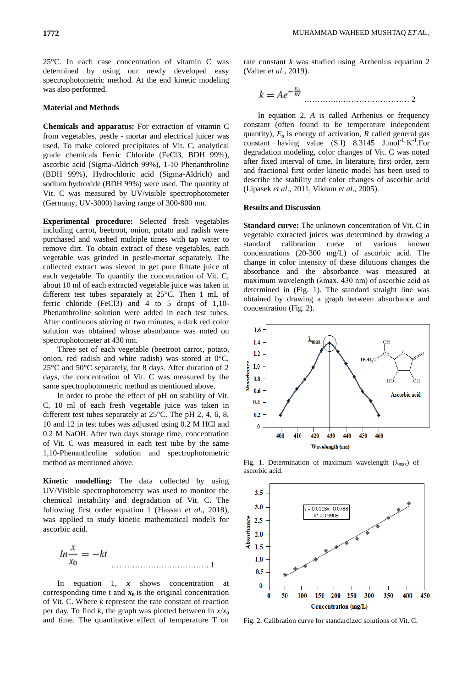25°C. In each case concentration of vitamin C was determined by using our newly developed easy spectrophotometric method. At the end kinetic modeling was also performed.

## **Material and Methods**

**Chemicals and apparatus:** For extraction of vitamin C from vegetables, pestle - mortar and electrical juicer was used. To make colored precipitates of Vit. C, analytical grade chemicals Ferric Chloride (FeCl3, BDH 99%), ascorbic acid (Sigma-Aldrich 99%), 1-10 Phenanthroline (BDH 99%), Hydrochloric acid (Sigma-Aldrich) and sodium hydroxide (BDH 99%) were used. The quantity of Vit. C was measured by UV/visible spectrophotometer (Germany, UV-3000) having range of 300-800 nm.

**Experimental procedure:** Selected fresh vegetables including carrot, beetroot, onion, potato and radish were purchased and washed multiple times with tap water to remove dirt. To obtain extract of these vegetables, each vegetable was grinded in pestle-mortar separately. The collected extract was sieved to get pure filtrate juice of each vegetable. To quantify the concentration of Vit. C, about 10 ml of each extracted vegetable juice was taken in different test tubes separately at 25°C. Then 1 mL of ferric chloride (FeCl3) and 4 to 5 drops of 1,10- Phenanthroline solution were added in each test tubes. After continuous stirring of two minutes, a dark red color solution was obtained whose absorbance was noted on spectrophotometer at 430 nm.

Three set of each vegetable (beetroot carrot, potato, onion, red radish and white radish) was stored at 0°C, 25°C and 50°C separately, for 8 days. After duration of 2 days, the concentration of Vit. C was measured by the same spectrophotometric method as mentioned above.

In order to probe the effect of pH on stability of Vit. C, 10 ml of each fresh vegetable juice was taken in different test tubes separately at 25°C. The pH 2, 4, 6, 8, 10 and 12 in test tubes was adjusted using 0.2 M HCl and 0.2 M NaOH. After two days storage time, concentration of Vit. C was measured in each test tube by the same 1,10-Phenanthroline solution and spectrophotometric method as mentioned above.

**Kinetic modelling:** The data collected by using UV/Visible spectrophotometry was used to monitor the chemical instability and degradation of Vit. C. The following first order equation 1 (Hassan *et al*., 2018), was applied to study kinetic mathematical models for ascorbic acid.

………………………………. 1

In equation 1, *x* shows concentration at corresponding time t and  $x_0$  is the original concentration of Vit. C. Where *k* represent the rate constant of reaction per day. To find *k*, the graph was plotted between  $\ln x/x_0$ and time. The quantitative effect of temperature T on rate constant *k* was studied using Arrhenius equation 2 (Valter *et al*., 2019).

………….……………………… 2

In equation 2, *A* is called Arrhenius or frequency constant (often found to be temperature independent quantity),  $E_a$  is energy of activation,  $R$  called general gas constant having value  $(S.I)$   $8.3145$   $J.mol^{-1} \cdot K^{-1}$ . For degradation modeling, color changes of Vit. C was noted after fixed interval of time. In literature, first order, zero and fractional first order kinetic model has been used to describe the stability and color changes of ascorbic acid (Lipasek *et al*., 2011, Vikram *et al*., 2005).

### **Results and Discussion**

**Standard curve:** The unknown concentration of Vit. C in vegetable extracted juices was determined by drawing a standard calibration curve of various known concentrations (20-300 mg/L) of ascorbic acid. The change in color intensity of these dilutions changes the absorbance and the absorbance was measured at maximum wavelength (λmax, 430 nm) of ascorbic acid as determined in (Fig. 1). The standard straight line was obtained by drawing a graph between absorbance and concentration (Fig. 2).



Fig. 1. Determination of maximum wavelength  $(\lambda_{\text{max}})$  of ascorbic acid.



Fig. 2. Calibration curve for standardized solutions of Vit. C.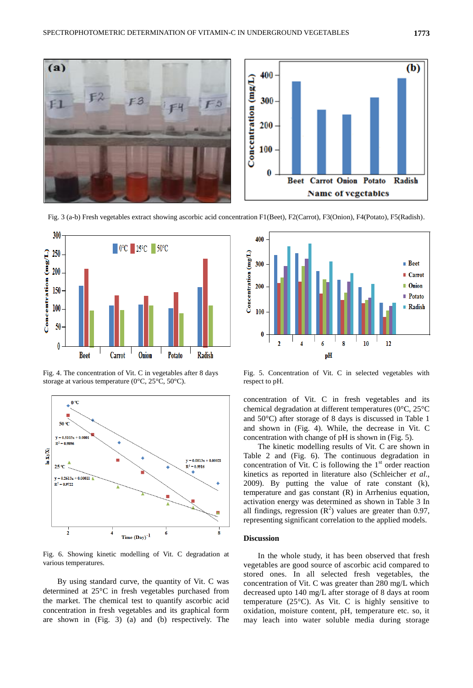

Fig. 3 (a-b) Fresh vegetables extract showing ascorbic acid concentration F1(Beet), F2(Carrot), F3(Onion), F4(Potato), F5(Radish).



Fig. 4. The concentration of Vit. C in vegetables after 8 days storage at various temperature (0°C, 25°C, 50°C).



Fig. 6. Showing kinetic modelling of Vit. C degradation at various temperatures.

By using standard curve, the quantity of Vit. C was determined at 25°C in fresh vegetables purchased from the market. The chemical test to quantify ascorbic acid concentration in fresh vegetables and its graphical form are shown in (Fig. 3) (a) and (b) respectively. The



Fig. 5. Concentration of Vit. C in selected vegetables with respect to pH.

concentration of Vit. C in fresh vegetables and its chemical degradation at different temperatures (0°C, 25°C and 50°C) after storage of 8 days is discussed in Table 1 and shown in (Fig. 4). While, the decrease in Vit. C concentration with change of pH is shown in (Fig. 5).

The kinetic modelling results of Vit. C are shown in Table 2 and (Fig. 6). The continuous degradation in concentration of Vit. C is following the  $1<sup>st</sup>$  order reaction kinetics as reported in literature also (Schleicher *et al*., 2009). By putting the value of rate constant (k), temperature and gas constant (R) in Arrhenius equation, activation energy was determined as shown in Table 3 In all findings, regression  $(R^2)$  values are greater than 0.97, representing significant correlation to the applied models.

## **Discussion**

In the whole study, it has been observed that fresh vegetables are good source of ascorbic acid compared to stored ones. In all selected fresh vegetables, the concentration of Vit. C was greater than 280 mg/L which decreased upto 140 mg/L after storage of 8 days at room temperature (25°C). As Vit. C is highly sensitive to oxidation, moisture content, pH, temperature etc. so, it may leach into water soluble media during storage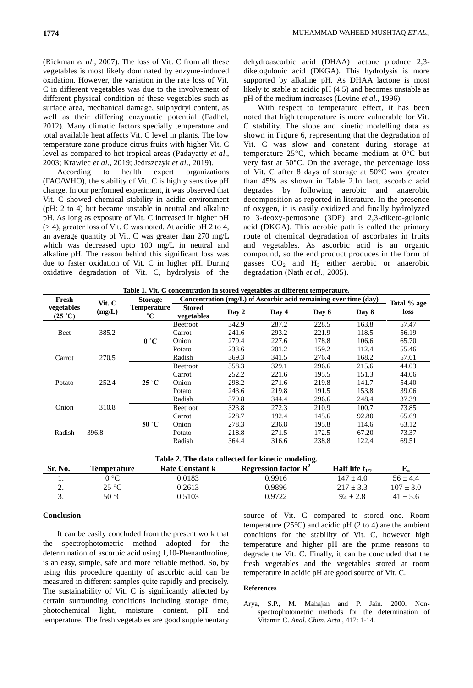(Rickman *et al*., 2007). The loss of Vit. C from all these vegetables is most likely dominated by enzyme-induced oxidation. However, the variation in the rate loss of Vit. C in different vegetables was due to the involvement of different physical condition of these vegetables such as surface area, mechanical damage, sulphydryl content, as well as their differing enzymatic potential (Fadhel, 2012). Many climatic factors specially temperature and total available heat affects Vit. C level in plants. The low temperature zone produce citrus fruits with higher Vit. C level as compared to hot tropical areas (Padayatty *et al*., 2003; Krawiec *et al*., 2019; Jedrszczyk *et al*., 2019).

According to health expert organizations (FAO/WHO), the stability of Vit. C is highly sensitive pH change. In our performed experiment, it was observed that Vit. C showed chemical stability in acidic environment (pH: 2 to 4) but became unstable in neutral and alkaline pH. As long as exposure of Vit. C increased in higher pH (> 4), greater loss of Vit. C was noted. At acidic pH 2 to 4, an average quantity of Vit. C was greater than 270 mg/L which was decreased upto 100 mg/L in neutral and alkaline pH. The reason behind this significant loss was due to faster oxidation of Vit. C in higher pH. During oxidative degradation of Vit. C, hydrolysis of the

dehydroascorbic acid (DHAA) lactone produce 2,3 diketogulonic acid (DKGA). This hydrolysis is more supported by alkaline pH. As DHAA lactone is most likely to stable at acidic pH (4.5) and becomes unstable as pH of the medium increases (Levine *et al*., 1996).

With respect to temperature effect, it has been noted that high temperature is more vulnerable for Vit. C stability. The slope and kinetic modelling data as shown in Figure 6, representing that the degradation of Vit. C was slow and constant during storage at temperature 25°C, which became medium at 0°C but very fast at 50°C. On the average, the percentage loss of Vit. C after 8 days of storage at 50°C was greater than 45% as shown in Table 2.In fact, ascorbic acid degrades by following aerobic and anaerobic decomposition as reported in literature. In the presence of oxygen, it is easily oxidized and finally hydrolyzed to 3-deoxy-pentosone (3DP) and 2,3-diketo-gulonic acid (DKGA). This aerobic path is called the primary route of chemical degradation of ascorbates in fruits and vegetables. As ascorbic acid is an organic compound, so the end product produces in the form of gasses  $CO<sub>2</sub>$  and  $H<sub>2</sub>$  either aerobic or anaerobic degradation (Nath *et al*., 2005).

| Table 1. Vit. C concentration in stored vegetables at different temperature. |  |
|------------------------------------------------------------------------------|--|
|------------------------------------------------------------------------------|--|

| Fresh                          | Vit. C<br>(mg/L) | <b>Storage</b><br><b>Temperature</b><br>$^{\circ}C$ | Concentration $(mg/L)$ of Ascorbic acid remaining over time $(dav)$ |          |       |       |       |                     |       |
|--------------------------------|------------------|-----------------------------------------------------|---------------------------------------------------------------------|----------|-------|-------|-------|---------------------|-------|
| vegetables<br>$(25 \degree C)$ |                  |                                                     | <b>Stored</b><br>vegetables                                         | Day 2    | Day 4 | Day 6 | Day 8 | Total % age<br>loss |       |
| Beet                           | 385.2            |                                                     | Beetroot                                                            | 342.9    | 287.2 | 228.5 | 163.8 | 57.47               |       |
|                                |                  |                                                     | Carrot                                                              | 241.6    | 293.2 | 221.9 | 118.5 | 56.19               |       |
|                                |                  | 0 °C                                                | Onion                                                               | 279.4    | 227.6 | 178.8 | 106.6 | 65.70               |       |
| Carrot                         | 270.5            |                                                     | Potato                                                              | 233.6    | 201.2 | 159.2 | 112.4 | 55.46               |       |
|                                |                  |                                                     | Radish                                                              | 369.3    | 341.5 | 276.4 | 168.2 | 57.61               |       |
|                                |                  |                                                     | <b>Beetroot</b>                                                     | 358.3    | 329.1 | 296.6 | 215.6 | 44.03               |       |
| Potato                         | 252.4            |                                                     | Carrot                                                              | 252.2    | 221.6 | 195.5 | 151.3 | 44.06               |       |
|                                |                  | $25^{\circ}$ C                                      | Onion                                                               | 298.2    | 271.6 | 219.8 | 141.7 | 54.40               |       |
|                                |                  |                                                     | Potato                                                              | 243.6    | 219.8 | 191.5 | 153.8 | 39.06               |       |
| Onion                          | 310.8            |                                                     | Radish                                                              | 379.8    | 344.4 | 296.6 | 248.4 | 37.39               |       |
|                                |                  |                                                     |                                                                     | Beetroot | 323.8 | 272.3 | 210.9 | 100.7               | 73.85 |
|                                |                  |                                                     | Carrot                                                              | 228.7    | 192.4 | 145.6 | 92.80 | 65.69               |       |
| Radish                         | 396.8            | 50 °C                                               | Onion                                                               | 278.3    | 236.8 | 195.8 | 114.6 | 63.12               |       |
|                                |                  |                                                     | Potato                                                              | 218.8    | 271.5 | 172.5 | 67.20 | 73.37               |       |
|                                |                  |                                                     |                                                                     | Radish   | 364.4 | 316.6 | 238.8 | 122.4               | 69.51 |

| Table 2. The data collected for kinetic modeling. |                |                        |                         |                            |               |  |  |  |  |  |  |
|---------------------------------------------------|----------------|------------------------|-------------------------|----------------------------|---------------|--|--|--|--|--|--|
| Sr. No.                                           | Temperature    | <b>Rate Constant k</b> | Regression factor $R^2$ | <b>Half</b> life $t_{1/2}$ | E,            |  |  |  |  |  |  |
|                                                   | 0 °C           | 0.0183                 | 0.9916                  | $147 \pm 4.0$              | $56 \pm 4.4$  |  |  |  |  |  |  |
| <u>.</u>                                          | $25^{\circ}C$  | 0.2613                 | 0.9896                  | $217 \pm 3.3$              | $107 \pm 3.0$ |  |  |  |  |  |  |
| J.                                                | $50^{\circ}$ C | 0.5103                 | 0.9722                  | $92 + 2.8$                 | $41 \pm 5.6$  |  |  |  |  |  |  |

### **Conclusion**

It can be easily concluded from the present work that the spectrophotometric method adopted for the determination of ascorbic acid using 1,10-Phenanthroline, is an easy, simple, safe and more reliable method. So, by using this procedure quantity of ascorbic acid can be measured in different samples quite rapidly and precisely. The sustainability of Vit. C is significantly affected by certain surrounding conditions including storage time, photochemical light, moisture content, pH and temperature. The fresh vegetables are good supplementary

source of Vit. C compared to stored one. Room temperature ( $25^{\circ}$ C) and acidic pH (2 to 4) are the ambient conditions for the stability of Vit. C, however high temperature and higher pH are the prime reasons to degrade the Vit. C. Finally, it can be concluded that the fresh vegetables and the vegetables stored at room temperature in acidic pH are good source of Vit. C.

#### **References**

Arya, S.P., M. Mahajan and P. Jain. 2000. Nonspectrophotometric methods for the determination of Vitamin C. *Anal. Chim. Acta.*, 417: 1-14.